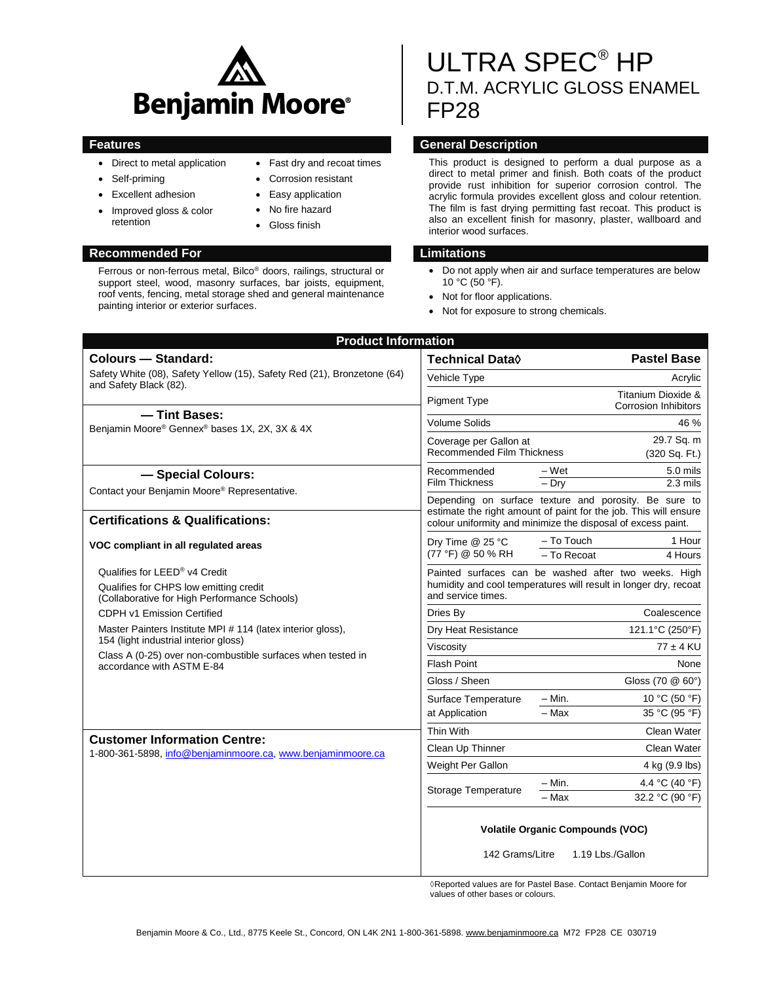

• Fast dry and recoat times Corrosion resistant Easy application No fire hazard Gloss finish

- Direct to metal application
- Self-priming
- Excellent adhesion
- Improved gloss & color retention

#### **Recommended For Limitations**

Ferrous or non-ferrous metal, Bilco® doors, railings, structural or support steel, wood, masonry surfaces, bar joists, equipment, roof vents, fencing, metal storage shed and general maintenance painting interior or exterior surfaces.

# ULTRA SPEC® HP D.T.M. ACRYLIC GLOSS ENAMEL FP28

### **Features General Description**

This product is designed to perform a dual purpose as a direct to metal primer and finish. Both coats of the product provide rust inhibition for superior corrosion control. The acrylic formula provides excellent gloss and colour retention. The film is fast drying permitting fast recoat. This product is also an excellent finish for masonry, plaster, wallboard and interior wood surfaces.

- Do not apply when air and surface temperatures are below  $10 °C$  ( $50 °F$ ).
- Not for floor applications.
- Not for exposure to strong chemicals.

| <b>Colours - Standard:</b>                                                                                                                                                                       | <b>Technical Data</b> ♦                                                                                                                                                                   |                                         | <b>Pastel Base</b>                                |
|--------------------------------------------------------------------------------------------------------------------------------------------------------------------------------------------------|-------------------------------------------------------------------------------------------------------------------------------------------------------------------------------------------|-----------------------------------------|---------------------------------------------------|
| Safety White (08), Safety Yellow (15), Safety Red (21), Bronzetone (64)<br>and Safety Black (82).                                                                                                | Vehicle Type                                                                                                                                                                              |                                         | Acrylic                                           |
|                                                                                                                                                                                                  | <b>Pigment Type</b>                                                                                                                                                                       |                                         | Titanium Dioxide &<br><b>Corrosion Inhibitors</b> |
| - Tint Bases:<br>Benjamin Moore® Gennex® bases 1X, 2X, 3X & 4X                                                                                                                                   | <b>Volume Solids</b>                                                                                                                                                                      |                                         | 46 %                                              |
|                                                                                                                                                                                                  | Coverage per Gallon at<br>Recommended Film Thickness                                                                                                                                      |                                         | 29.7 Sq. m<br>(320 Sq. Ft.)                       |
| - Special Colours:                                                                                                                                                                               | Recommended                                                                                                                                                                               | – Wet                                   | 5.0 mils                                          |
| Contact your Benjamin Moore® Representative.                                                                                                                                                     | <b>Film Thickness</b>                                                                                                                                                                     | $-$ Drv                                 | $2.3$ mils                                        |
| <b>Certifications &amp; Qualifications:</b>                                                                                                                                                      | Depending on surface texture and porosity. Be sure to<br>estimate the right amount of paint for the job. This will ensure<br>colour uniformity and minimize the disposal of excess paint. |                                         |                                                   |
| VOC compliant in all regulated areas                                                                                                                                                             | Dry Time @ 25 °C<br>(77 °F) @ 50 % RH                                                                                                                                                     | - To Touch<br>- To Recoat               | 1 Hour<br>4 Hours                                 |
| Qualifies for LEED® v4 Credit                                                                                                                                                                    | Painted surfaces can be washed after two weeks. High<br>humidity and cool temperatures will result in longer dry, recoat<br>and service times.                                            |                                         |                                                   |
| Qualifies for CHPS low emitting credit<br>(Collaborative for High Performance Schools)                                                                                                           |                                                                                                                                                                                           |                                         |                                                   |
| CDPH v1 Emission Certified                                                                                                                                                                       | Dries By                                                                                                                                                                                  |                                         | Coalescence                                       |
| Master Painters Institute MPI # 114 (latex interior gloss),<br>154 (light industrial interior gloss)<br>Class A (0-25) over non-combustible surfaces when tested in<br>accordance with ASTM E-84 | Dry Heat Resistance                                                                                                                                                                       |                                         | 121.1°C (250°F)                                   |
|                                                                                                                                                                                                  | Viscosity                                                                                                                                                                                 |                                         | $77 \pm 4$ KU                                     |
|                                                                                                                                                                                                  | <b>Flash Point</b>                                                                                                                                                                        |                                         | None                                              |
|                                                                                                                                                                                                  | Gloss / Sheen                                                                                                                                                                             |                                         | Gloss (70 @ 60°)                                  |
|                                                                                                                                                                                                  | Surface Temperature<br>at Application                                                                                                                                                     | $-$ Min.                                | 10 °C (50 °F)                                     |
|                                                                                                                                                                                                  |                                                                                                                                                                                           | $-Max$                                  | 35 °C (95 °F)                                     |
| <b>Customer Information Centre:</b><br>1-800-361-5898, info@benjaminmoore.ca, www.benjaminmoore.ca                                                                                               | Thin With                                                                                                                                                                                 |                                         | Clean Water                                       |
|                                                                                                                                                                                                  | Clean Up Thinner                                                                                                                                                                          |                                         | Clean Water                                       |
|                                                                                                                                                                                                  | Weight Per Gallon                                                                                                                                                                         |                                         | 4 kg (9.9 lbs)                                    |
|                                                                                                                                                                                                  | Storage Temperature                                                                                                                                                                       | $- Min.$                                | 4.4 °C (40 °F)                                    |
|                                                                                                                                                                                                  |                                                                                                                                                                                           | $-$ Max                                 | 32.2 °C (90 °F)                                   |
|                                                                                                                                                                                                  | 142 Grams/Litre                                                                                                                                                                           | <b>Volatile Organic Compounds (VOC)</b> | 1.19 Lbs./Gallon                                  |

◊Reported values are for Pastel Base. Contact Benjamin Moore for values of other bases or colours.